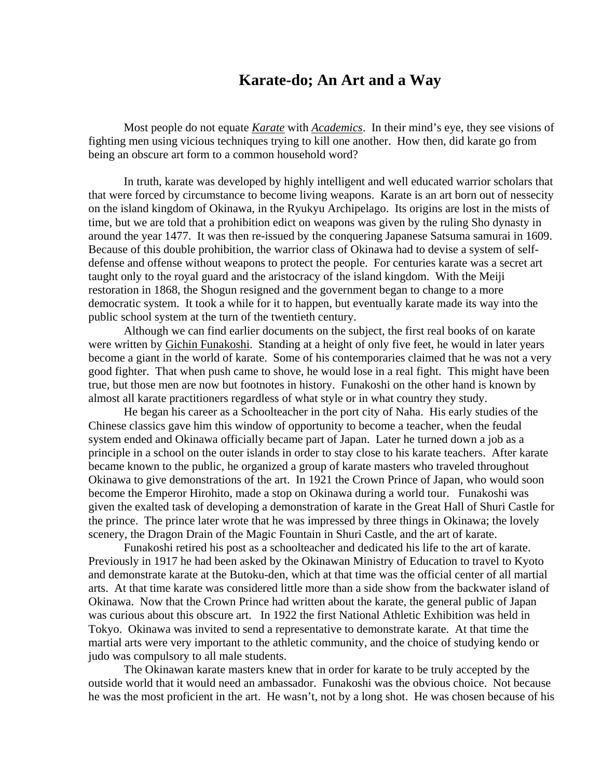## **Karate-do; An Art and a Way**

 Most people do not equate *Karate* with *Academics*. In their mind's eye, they see visions of fighting men using vicious techniques trying to kill one another. How then, did karate go from being an obscure art form to a common household word?

 In truth, karate was developed by highly intelligent and well educated warrior scholars that that were forced by circumstance to become living weapons. Karate is an art born out of nessecity on the island kingdom of Okinawa, in the Ryukyu Archipelago. Its origins are lost in the mists of time, but we are told that a prohibition edict on weapons was given by the ruling Sho dynasty in around the year 1477. It was then re-issued by the conquering Japanese Satsuma samurai in 1609. Because of this double prohibition, the warrior class of Okinawa had to devise a system of selfdefense and offense without weapons to protect the people. For centuries karate was a secret art taught only to the royal guard and the aristocracy of the island kingdom. With the Meiji restoration in 1868, the Shogun resigned and the government began to change to a more democratic system. It took a while for it to happen, but eventually karate made its way into the public school system at the turn of the twentieth century.

 Although we can find earlier documents on the subject, the first real books of on karate were written by Gichin Funakoshi. Standing at a height of only five feet, he would in later years become a giant in the world of karate. Some of his contemporaries claimed that he was not a very good fighter. That when push came to shove, he would lose in a real fight. This might have been true, but those men are now but footnotes in history. Funakoshi on the other hand is known by almost all karate practitioners regardless of what style or in what country they study.

 He began his career as a Schoolteacher in the port city of Naha. His early studies of the Chinese classics gave him this window of opportunity to become a teacher, when the feudal system ended and Okinawa officially became part of Japan. Later he turned down a job as a principle in a school on the outer islands in order to stay close to his karate teachers. After karate became known to the public, he organized a group of karate masters who traveled throughout Okinawa to give demonstrations of the art. In 1921 the Crown Prince of Japan, who would soon become the Emperor Hirohito, made a stop on Okinawa during a world tour. Funakoshi was given the exalted task of developing a demonstration of karate in the Great Hall of Shuri Castle for the prince. The prince later wrote that he was impressed by three things in Okinawa; the lovely scenery, the Dragon Drain of the Magic Fountain in Shuri Castle, and the art of karate.

 Funakoshi retired his post as a schoolteacher and dedicated his life to the art of karate. Previously in 1917 he had been asked by the Okinawan Ministry of Education to travel to Kyoto and demonstrate karate at the Butoku-den, which at that time was the official center of all martial arts. At that time karate was considered little more than a side show from the backwater island of Okinawa. Now that the Crown Prince had written about the karate, the general public of Japan was curious about this obscure art. In 1922 the first National Athletic Exhibition was held in Tokyo. Okinawa was invited to send a representative to demonstrate karate. At that time the martial arts were very important to the athletic community, and the choice of studying kendo or judo was compulsory to all male students.

 The Okinawan karate masters knew that in order for karate to be truly accepted by the outside world that it would need an ambassador. Funakoshi was the obvious choice. Not because he was the most proficient in the art. He wasn't, not by a long shot. He was chosen because of his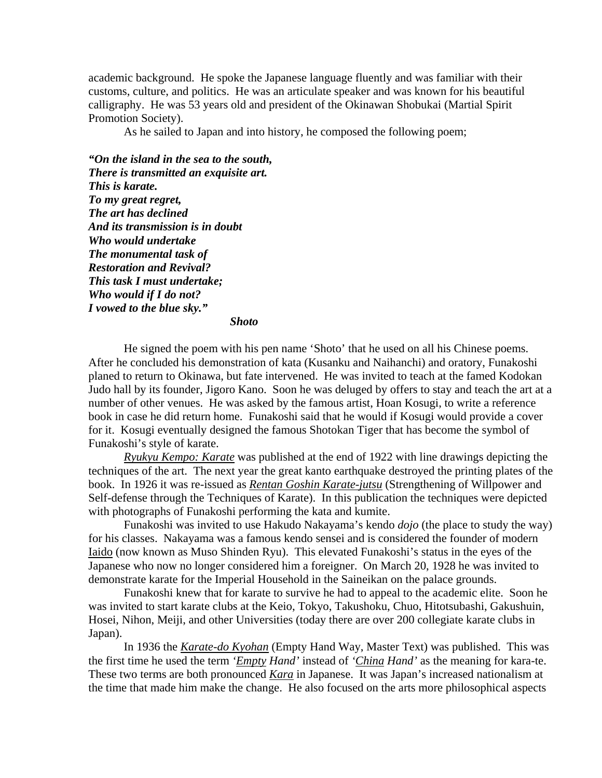academic background. He spoke the Japanese language fluently and was familiar with their customs, culture, and politics. He was an articulate speaker and was known for his beautiful calligraphy. He was 53 years old and president of the Okinawan Shobukai (Martial Spirit Promotion Society).

As he sailed to Japan and into history, he composed the following poem;

*"On the island in the sea to the south, There is transmitted an exquisite art. This is karate. To my great regret, The art has declined And its transmission is in doubt Who would undertake The monumental task of Restoration and Revival? This task I must undertake; Who would if I do not? I vowed to the blue sky."* 

 *Shoto* 

 He signed the poem with his pen name 'Shoto' that he used on all his Chinese poems. After he concluded his demonstration of kata (Kusanku and Naihanchi) and oratory, Funakoshi planed to return to Okinawa, but fate intervened. He was invited to teach at the famed Kodokan Judo hall by its founder, Jigoro Kano. Soon he was deluged by offers to stay and teach the art at a number of other venues. He was asked by the famous artist, Hoan Kosugi, to write a reference book in case he did return home. Funakoshi said that he would if Kosugi would provide a cover for it. Kosugi eventually designed the famous Shotokan Tiger that has become the symbol of Funakoshi's style of karate.

*Ryukyu Kempo: Karate* was published at the end of 1922 with line drawings depicting the techniques of the art. The next year the great kanto earthquake destroyed the printing plates of the book. In 1926 it was re-issued as *Rentan Goshin Karate-jutsu* (Strengthening of Willpower and Self-defense through the Techniques of Karate). In this publication the techniques were depicted with photographs of Funakoshi performing the kata and kumite.

 Funakoshi was invited to use Hakudo Nakayama's kendo *dojo* (the place to study the way) for his classes. Nakayama was a famous kendo sensei and is considered the founder of modern Iaido (now known as Muso Shinden Ryu). This elevated Funakoshi's status in the eyes of the Japanese who now no longer considered him a foreigner. On March 20, 1928 he was invited to demonstrate karate for the Imperial Household in the Saineikan on the palace grounds.

 Funakoshi knew that for karate to survive he had to appeal to the academic elite. Soon he was invited to start karate clubs at the Keio, Tokyo, Takushoku, Chuo, Hitotsubashi, Gakushuin, Hosei, Nihon, Meiji, and other Universities (today there are over 200 collegiate karate clubs in Japan).

 In 1936 the *Karate-do Kyohan* (Empty Hand Way, Master Text) was published. This was the first time he used the term *'Empty Hand'* instead of *'China Hand'* as the meaning for kara-te. These two terms are both pronounced *Kara* in Japanese. It was Japan's increased nationalism at the time that made him make the change. He also focused on the arts more philosophical aspects